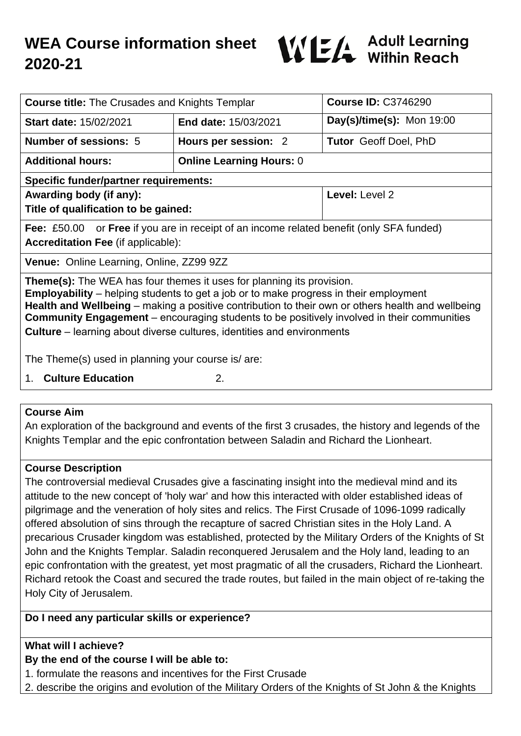# **WEA Course information sheet 2020-21**



| <b>Course title:</b> The Crusades and Knights Templar                                                                                                                                                                                                                                                                                                                                                                                                                   |                                 | <b>Course ID: C3746290</b>   |
|-------------------------------------------------------------------------------------------------------------------------------------------------------------------------------------------------------------------------------------------------------------------------------------------------------------------------------------------------------------------------------------------------------------------------------------------------------------------------|---------------------------------|------------------------------|
| <b>Start date: 15/02/2021</b>                                                                                                                                                                                                                                                                                                                                                                                                                                           | <b>End date: 15/03/2021</b>     | $Day(s)/time(s)$ : Mon 19:00 |
| <b>Number of sessions: 5</b>                                                                                                                                                                                                                                                                                                                                                                                                                                            | Hours per session: 2            | <b>Tutor</b> Geoff Doel, PhD |
| <b>Additional hours:</b>                                                                                                                                                                                                                                                                                                                                                                                                                                                | <b>Online Learning Hours: 0</b> |                              |
| <b>Specific funder/partner requirements:</b>                                                                                                                                                                                                                                                                                                                                                                                                                            |                                 |                              |
| Awarding body (if any):                                                                                                                                                                                                                                                                                                                                                                                                                                                 |                                 | Level: Level 2               |
| Title of qualification to be gained:                                                                                                                                                                                                                                                                                                                                                                                                                                    |                                 |                              |
| <b>Fee:</b> £50.00 or <b>Free</b> if you are in receipt of an income related benefit (only SFA funded)                                                                                                                                                                                                                                                                                                                                                                  |                                 |                              |
| <b>Accreditation Fee (if applicable):</b>                                                                                                                                                                                                                                                                                                                                                                                                                               |                                 |                              |
| Venue: Online Learning, Online, ZZ99 9ZZ                                                                                                                                                                                                                                                                                                                                                                                                                                |                                 |                              |
| <b>Theme(s):</b> The WEA has four themes it uses for planning its provision.<br><b>Employability</b> – helping students to get a job or to make progress in their employment<br>Health and Wellbeing – making a positive contribution to their own or others health and wellbeing<br><b>Community Engagement</b> – encouraging students to be positively involved in their communities<br><b>Culture</b> – learning about diverse cultures, identities and environments |                                 |                              |
| The Theme(s) used in planning your course is/are:                                                                                                                                                                                                                                                                                                                                                                                                                       |                                 |                              |
| <b>Culture Education</b><br>1.                                                                                                                                                                                                                                                                                                                                                                                                                                          | 2.                              |                              |

#### **Course Aim**

An exploration of the background and events of the first 3 crusades, the history and legends of the Knights Templar and the epic confrontation between Saladin and Richard the Lionheart.

#### **Course Description**

The controversial medieval Crusades give a fascinating insight into the medieval mind and its attitude to the new concept of 'holy war' and how this interacted with older established ideas of pilgrimage and the veneration of holy sites and relics. The First Crusade of 1096-1099 radically offered absolution of sins through the recapture of sacred Christian sites in the Holy Land. A precarious Crusader kingdom was established, protected by the Military Orders of the Knights of St John and the Knights Templar. Saladin reconquered Jerusalem and the Holy land, leading to an epic confrontation with the greatest, yet most pragmatic of all the crusaders, Richard the Lionheart. Richard retook the Coast and secured the trade routes, but failed in the main object of re-taking the Holy City of Jerusalem.

#### **Do I need any particular skills or experience?**

## **What will I achieve?**

## **By the end of the course I will be able to:**

- 1. formulate the reasons and incentives for the First Crusade
- 2. describe the origins and evolution of the Military Orders of the Knights of St John & the Knights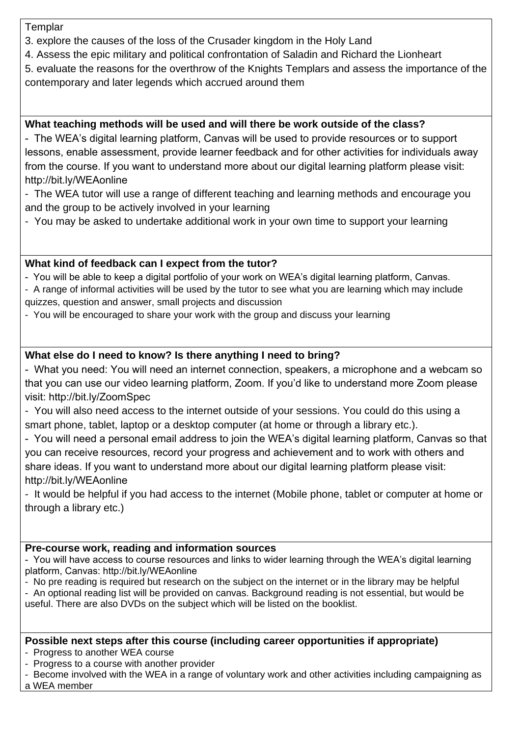**Templar** 

- 3. explore the causes of the loss of the Crusader kingdom in the Holy Land
- 4. Assess the epic military and political confrontation of Saladin and Richard the Lionheart
- 5. evaluate the reasons for the overthrow of the Knights Templars and assess the importance of the contemporary and later legends which accrued around them

#### **What teaching methods will be used and will there be work outside of the class?**

- The WEA's digital learning platform, Canvas will be used to provide resources or to support lessons, enable assessment, provide learner feedback and for other activities for individuals away from the course. If you want to understand more about our digital learning platform please visit: http://bit.ly/WEAonline

- The WEA tutor will use a range of different teaching and learning methods and encourage you and the group to be actively involved in your learning
- You may be asked to undertake additional work in your own time to support your learning

#### **What kind of feedback can I expect from the tutor?**

- You will be able to keep a digital portfolio of your work on WEA's digital learning platform, Canvas.

- A range of informal activities will be used by the tutor to see what you are learning which may include quizzes, question and answer, small projects and discussion
- You will be encouraged to share your work with the group and discuss your learning

## **What else do I need to know? Is there anything I need to bring?**

- What you need: You will need an internet connection, speakers, a microphone and a webcam so that you can use our video learning platform, Zoom. If you'd like to understand more Zoom please visit: http://bit.ly/ZoomSpec

- You will also need access to the internet outside of your sessions. You could do this using a smart phone, tablet, laptop or a desktop computer (at home or through a library etc.).

- You will need a personal email address to join the WEA's digital learning platform, Canvas so that you can receive resources, record your progress and achievement and to work with others and share ideas. If you want to understand more about our digital learning platform please visit: http://bit.ly/WEAonline

- It would be helpful if you had access to the internet (Mobile phone, tablet or computer at home or through a library etc.)

#### **Pre-course work, reading and information sources**

- You will have access to course resources and links to wider learning through the WEA's digital learning platform, Canvas: http://bit.ly/WEAonline

- No pre reading is required but research on the subject on the internet or in the library may be helpful

- An optional reading list will be provided on canvas. Background reading is not essential, but would be useful. There are also DVDs on the subject which will be listed on the booklist.

#### **Possible next steps after this course (including career opportunities if appropriate)**

- Progress to another WEA course

- Progress to a course with another provider
- Become involved with the WEA in a range of voluntary work and other activities including campaigning as

a WEA member